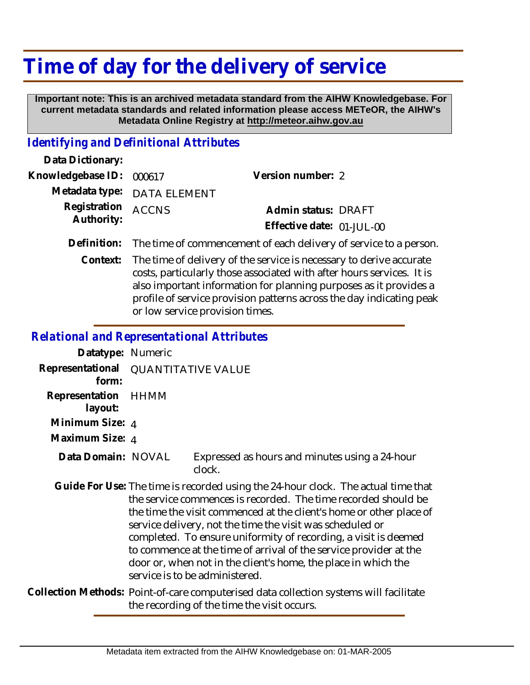# **Time of day for the delivery of service**

 **Important note: This is an archived metadata standard from the AIHW Knowledgebase. For current metadata standards and related information please access METeOR, the AIHW's Metadata Online Registry at http://meteor.aihw.gov.au**

### *Identifying and Definitional Attributes*

| Data Dictionary:         |                                                                               |                           |  |
|--------------------------|-------------------------------------------------------------------------------|---------------------------|--|
| Knowledgebase ID: 000617 |                                                                               | Version number: 2         |  |
|                          | Metadata type: DATA ELEMENT                                                   |                           |  |
| Registration ACCNS       |                                                                               | Admin status: DRAFT       |  |
| Authority:               |                                                                               | Effective date: 01-JUL-00 |  |
|                          | Definition: The time of commencement of each delivery of service to a person. |                           |  |

Context: The time of delivery of the service is necessary to derive accurate costs, particularly those associated with after hours services. It is also important information for planning purposes as it provides a profile of service provision patterns across the day indicating peak or low service provision times.

#### *Relational and Representational Attributes*

| Datatype: Numeric                            |                                                                                                                                                                                                                                                                                                                                                                                                                                                                                                                                     |                                                                                       |
|----------------------------------------------|-------------------------------------------------------------------------------------------------------------------------------------------------------------------------------------------------------------------------------------------------------------------------------------------------------------------------------------------------------------------------------------------------------------------------------------------------------------------------------------------------------------------------------------|---------------------------------------------------------------------------------------|
| Representational QUANTITATIVE VALUE<br>form: |                                                                                                                                                                                                                                                                                                                                                                                                                                                                                                                                     |                                                                                       |
| Representation HHMM<br>layout:               |                                                                                                                                                                                                                                                                                                                                                                                                                                                                                                                                     |                                                                                       |
| Minimum Size: 4                              |                                                                                                                                                                                                                                                                                                                                                                                                                                                                                                                                     |                                                                                       |
| Maximum Size: 4                              |                                                                                                                                                                                                                                                                                                                                                                                                                                                                                                                                     |                                                                                       |
| Data Domain: NOVAL                           |                                                                                                                                                                                                                                                                                                                                                                                                                                                                                                                                     | Expressed as hours and minutes using a 24-hour<br>clock.                              |
|                                              | Guide For Use: The time is recorded using the 24-hour clock. The actual time that<br>the service commences is recorded. The time recorded should be<br>the time the visit commenced at the client's home or other place of<br>service delivery, not the time the visit was scheduled or<br>completed. To ensure uniformity of recording, a visit is deemed<br>to commence at the time of arrival of the service provider at the<br>door or, when not in the client's home, the place in which the<br>service is to be administered. |                                                                                       |
|                                              |                                                                                                                                                                                                                                                                                                                                                                                                                                                                                                                                     | ollection Methods: Doint of care computerised data collection systems will facilitate |

Collection Methods: Point-of-care computerised data collection systems will facilitate the recording of the time the visit occurs.